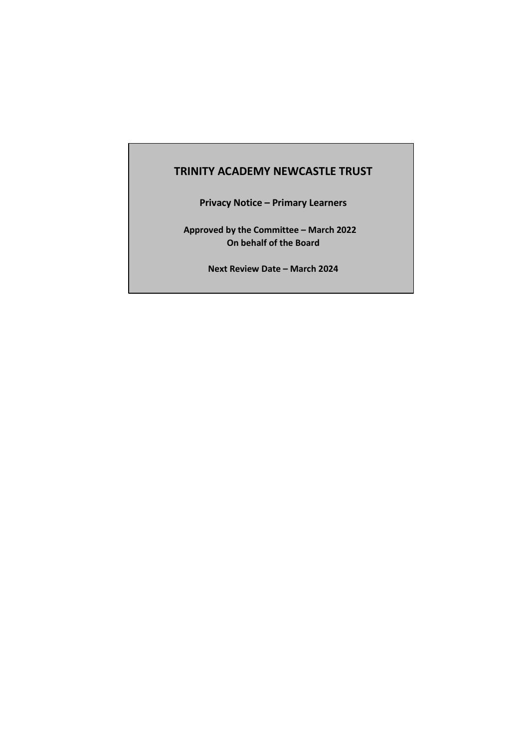# **TRINITY ACADEMY NEWCASTLE TRUST**

**Privacy Notice – Primary Learners**

**Approved by the Committee – March 2022 On behalf of the Board**

**Next Review Date – March 2024**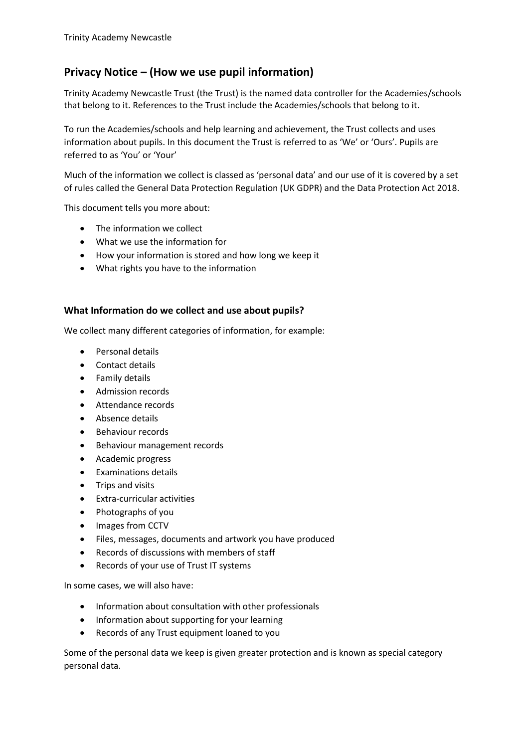# **Privacy Notice – (How we use pupil information)**

Trinity Academy Newcastle Trust (the Trust) is the named data controller for the Academies/schools that belong to it. References to the Trust include the Academies/schools that belong to it.

To run the Academies/schools and help learning and achievement, the Trust collects and uses information about pupils. In this document the Trust is referred to as 'We' or 'Ours'. Pupils are referred to as 'You' or 'Your'

Much of the information we collect is classed as 'personal data' and our use of it is covered by a set of rules called the General Data Protection Regulation (UK GDPR) and the Data Protection Act 2018.

This document tells you more about:

- The information we collect
- What we use the information for
- How your information is stored and how long we keep it
- What rights you have to the information

#### **What Information do we collect and use about pupils?**

We collect many different categories of information, for example:

- Personal details
- Contact details
- Family details
- Admission records
- **Attendance records**
- Absence details
- Behaviour records
- Behaviour management records
- Academic progress
- Examinations details
- Trips and visits
- Extra-curricular activities
- Photographs of you
- Images from CCTV
- Files, messages, documents and artwork you have produced
- Records of discussions with members of staff
- Records of your use of Trust IT systems

In some cases, we will also have:

- Information about consultation with other professionals
- Information about supporting for your learning
- Records of any Trust equipment loaned to you

Some of the personal data we keep is given greater protection and is known as special category personal data.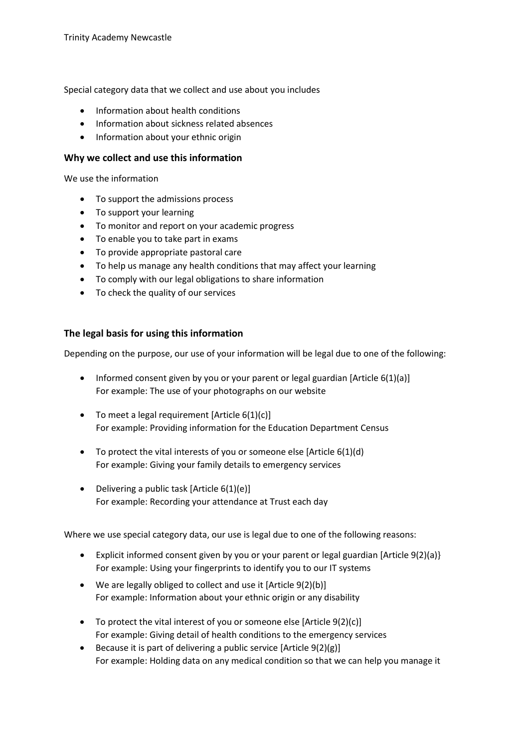Special category data that we collect and use about you includes

- Information about health conditions
- Information about sickness related absences
- Information about your ethnic origin

#### **Why we collect and use this information**

We use the information

- To support the admissions process
- To support your learning
- To monitor and report on your academic progress
- To enable you to take part in exams
- To provide appropriate pastoral care
- To help us manage any health conditions that may affect your learning
- To comply with our legal obligations to share information
- To check the quality of our services

#### **The legal basis for using this information**

Depending on the purpose, our use of your information will be legal due to one of the following:

- Informed consent given by you or your parent or legal guardian [Article  $6(1)(a)$ ] For example: The use of your photographs on our website
- $\bullet$  To meet a legal requirement [Article 6(1)(c)] For example: Providing information for the Education Department Census
- $\bullet$  To protect the vital interests of you or someone else [Article 6(1)(d) For example: Giving your family details to emergency services
- Delivering a public task [Article  $6(1)(e)$ ] For example: Recording your attendance at Trust each day

Where we use special category data, our use is legal due to one of the following reasons:

- Explicit informed consent given by you or your parent or legal guardian [Article 9(2)(a)} For example: Using your fingerprints to identify you to our IT systems
- We are legally obliged to collect and use it [Article 9(2)(b)] For example: Information about your ethnic origin or any disability
- To protect the vital interest of you or someone else [Article 9(2)(c)] For example: Giving detail of health conditions to the emergency services
- Because it is part of delivering a public service  $[Article 9(2)(g)]$ For example: Holding data on any medical condition so that we can help you manage it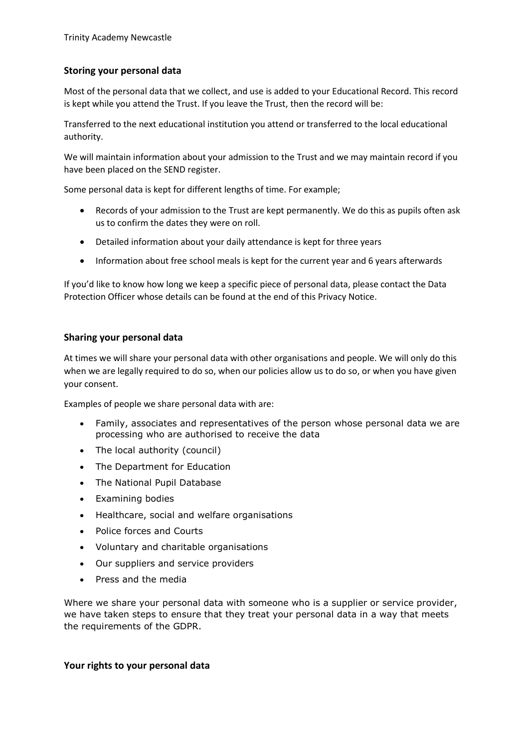### **Storing your personal data**

Most of the personal data that we collect, and use is added to your Educational Record. This record is kept while you attend the Trust. If you leave the Trust, then the record will be:

Transferred to the next educational institution you attend or transferred to the local educational authority.

We will maintain information about your admission to the Trust and we may maintain record if you have been placed on the SEND register.

Some personal data is kept for different lengths of time. For example;

- Records of your admission to the Trust are kept permanently. We do this as pupils often ask us to confirm the dates they were on roll.
- Detailed information about your daily attendance is kept for three years
- Information about free school meals is kept for the current year and 6 years afterwards

If you'd like to know how long we keep a specific piece of personal data, please contact the Data Protection Officer whose details can be found at the end of this Privacy Notice.

#### **Sharing your personal data**

At times we will share your personal data with other organisations and people. We will only do this when we are legally required to do so, when our policies allow us to do so, or when you have given your consent.

Examples of people we share personal data with are:

- Family, associates and representatives of the person whose personal data we are processing who are authorised to receive the data
- The local authority (council)
- The Department for Education
- The National Pupil Database
- Examining bodies
- Healthcare, social and welfare organisations
- Police forces and Courts
- Voluntary and charitable organisations
- Our suppliers and service providers
- Press and the media

Where we share your personal data with someone who is a supplier or service provider, we have taken steps to ensure that they treat your personal data in a way that meets the requirements of the GDPR.

#### **Your rights to your personal data**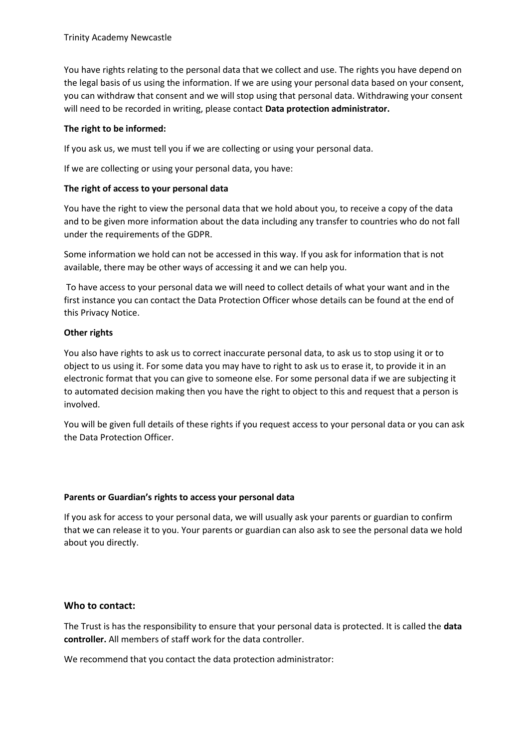You have rights relating to the personal data that we collect and use. The rights you have depend on the legal basis of us using the information. If we are using your personal data based on your consent, you can withdraw that consent and we will stop using that personal data. Withdrawing your consent will need to be recorded in writing, please contact **Data protection administrator.**

### **The right to be informed:**

If you ask us, we must tell you if we are collecting or using your personal data.

If we are collecting or using your personal data, you have:

## **The right of access to your personal data**

You have the right to view the personal data that we hold about you, to receive a copy of the data and to be given more information about the data including any transfer to countries who do not fall under the requirements of the GDPR.

Some information we hold can not be accessed in this way. If you ask for information that is not available, there may be other ways of accessing it and we can help you.

To have access to your personal data we will need to collect details of what your want and in the first instance you can contact the Data Protection Officer whose details can be found at the end of this Privacy Notice.

## **Other rights**

You also have rights to ask us to correct inaccurate personal data, to ask us to stop using it or to object to us using it. For some data you may have to right to ask us to erase it, to provide it in an electronic format that you can give to someone else. For some personal data if we are subjecting it to automated decision making then you have the right to object to this and request that a person is involved.

You will be given full details of these rights if you request access to your personal data or you can ask the Data Protection Officer.

#### **Parents or Guardian's rights to access your personal data**

If you ask for access to your personal data, we will usually ask your parents or guardian to confirm that we can release it to you. Your parents or guardian can also ask to see the personal data we hold about you directly.

# **Who to contact:**

The Trust is has the responsibility to ensure that your personal data is protected. It is called the **data controller.** All members of staff work for the data controller.

We recommend that you contact the data protection administrator: